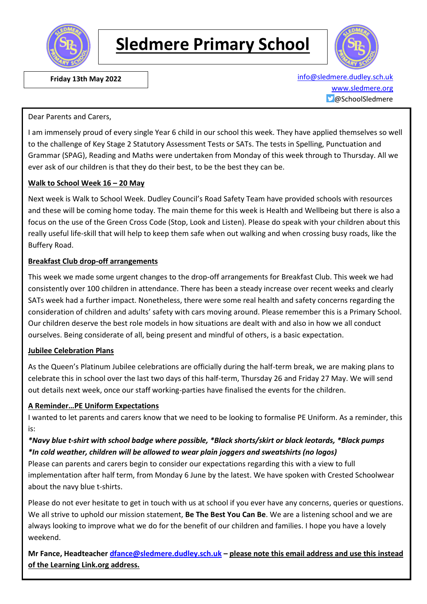

# **Sledmere Primary School**



 **Friday 13th May 2022** [info@sledmere.dudley.sch.uk](mailto:info@sledmere.dudley.sch.uk) [www.sledmere.org](http://www.sledmere.org/) @SchoolSledmere

#### Dear Parents and Carers,

I am immensely proud of every single Year 6 child in our school this week. They have applied themselves so well to the challenge of Key Stage 2 Statutory Assessment Tests or SATs. The tests in Spelling, Punctuation and Grammar (SPAG), Reading and Maths were undertaken from Monday of this week through to Thursday. All we ever ask of our children is that they do their best, to be the best they can be.

#### **Walk to School Week 16 – 20 May**

Next week is Walk to School Week. Dudley Council's Road Safety Team have provided schools with resources and these will be coming home today. The main theme for this week is Health and Wellbeing but there is also a focus on the use of the Green Cross Code (Stop, Look and Listen). Please do speak with your children about this really useful life-skill that will help to keep them safe when out walking and when crossing busy roads, like the Buffery Road.

#### **Breakfast Club drop-off arrangements**

This week we made some urgent changes to the drop-off arrangements for Breakfast Club. This week we had consistently over 100 children in attendance. There has been a steady increase over recent weeks and clearly SATs week had a further impact. Nonetheless, there were some real health and safety concerns regarding the consideration of children and adults' safety with cars moving around. Please remember this is a Primary School. Our children deserve the best role models in how situations are dealt with and also in how we all conduct ourselves. Being considerate of all, being present and mindful of others, is a basic expectation.

#### **Jubilee Celebration Plans**

As the Queen's Platinum Jubilee celebrations are officially during the half-term break, we are making plans to celebrate this in school over the last two days of this half-term, Thursday 26 and Friday 27 May. We will send out details next week, once our staff working-parties have finalised the events for the children.

#### **A Reminder…PE Uniform Expectations**

I wanted to let parents and carers know that we need to be looking to formalise PE Uniform. As a reminder, this is:

#### *\*Navy blue t-shirt with school badge where possible, \*Black shorts/skirt or black leotards, \*Black pumps \*In cold weather, children will be allowed to wear plain joggers and sweatshirts (no logos)*

Please can parents and carers begin to consider our expectations regarding this with a view to full implementation after half term, from Monday 6 June by the latest. We have spoken with Crested Schoolwear about the navy blue t-shirts.

Please do not ever hesitate to get in touch with us at school if you ever have any concerns, queries or questions. We all strive to uphold our mission statement, **Be The Best You Can Be**. We are a listening school and we are always looking to improve what we do for the benefit of our children and families. I hope you have a lovely weekend.

**Mr Fance, Headteacher [dfance@sledmere.dudley.sch.uk](mailto:dfance@sledmere.dudley.sch.uk) – please note this email address and use this instead of the Learning Link.org address.**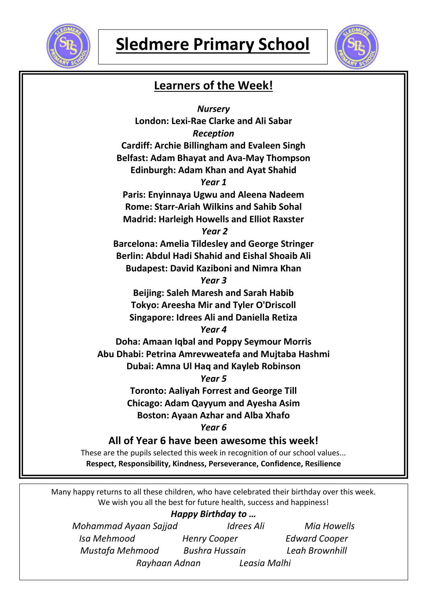



### **Learners of the Week!**

*Nursery* **London: Lexi-Rae Clarke and Ali Sabar** *Reception* **Cardiff: Archie Billingham and Evaleen Singh Belfast: Adam Bhayat and Ava-May Thompson Edinburgh: Adam Khan and Ayat Shahid** *Year 1* **Paris: Enyinnaya Ugwu and Aleena Nadeem Rome: Starr-Ariah Wilkins and Sahib Sohal Madrid: Harleigh Howells and Elliot Raxster** *Year 2* **Barcelona: Amelia Tildesley and George Stringer Berlin: Abdul Hadi Shahid and Eishal Shoaib Ali Budapest: David Kaziboni and Nimra Khan** *Year 3* **Beijing: Saleh Maresh and Sarah Habib Tokyo: Areesha Mir and Tyler O'Driscoll Singapore: Idrees Ali and Daniella Retiza** *Year 4* **Doha: Amaan Iqbal and Poppy Seymour Morris Abu Dhabi: Petrina Amrevweatefa and Mujtaba Hashmi Dubai: Amna Ul Haq and Kayleb Robinson** *Year 5* **Toronto: Aaliyah Forrest and George Till Chicago: Adam Qayyum and Ayesha Asim Boston: Ayaan Azhar and Alba Xhafo** *Year 6* **All of Year 6 have been awesome this week!** These are the pupils selected this week in recognition of our school values... **Respect, Responsibility, Kindness, Perseverance, Confidence, Resilience**

Many happy returns to all these children, who have celebrated their birthday over this week. We wish you all the best for future health, success and happiness!

#### *Happy Birthday to …*

| Mohammad Ayaan Sajjad | Idrees Ali            | <b>Mia Howells</b>   |
|-----------------------|-----------------------|----------------------|
| Isa Mehmood           | <b>Henry Cooper</b>   | <b>Edward Cooper</b> |
| Mustafa Mehmood       | <b>Bushra Hussain</b> | Leah Brownhill       |
| Rayhaan Adnan         | Leasia Malhi          |                      |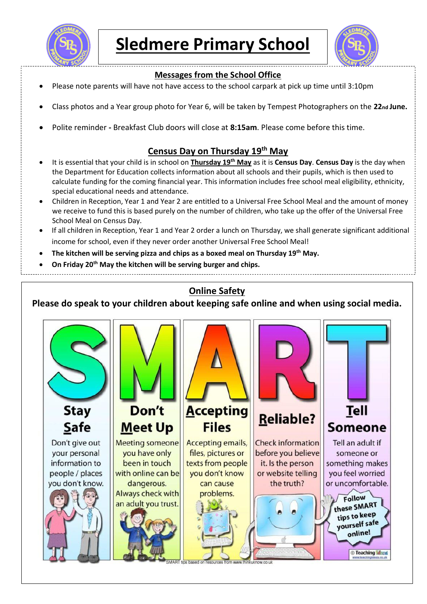

**Sledmere Primary School**



#### **Messages from the School Office**

- Please note parents will have not have access to the school carpark at pick up time until 3:10pm
- Class photos and a Year group photo for Year 6, will be taken by Tempest Photographers on the 22<sub>nd</sub> June.
- Polite reminder **-** Breakfast Club doors will close at **8:15am**. Please come before this time.

#### **Census Day on Thursday 19th May**

- It is essential that your child is in school on **Thursday 19th May** as it is **Census Day**. **Census Day** is the day when the Department for Education collects information about all schools and their pupils, which is then used to calculate funding for the coming financial year. This information includes free school meal eligibility, ethnicity, special educational needs and attendance.
- Children in Reception, Year 1 and Year 2 are entitled to a Universal Free School Meal and the amount of money we receive to fund this is based purely on the number of children, who take up the offer of the Universal Free School Meal on Census Day.
- If all children in Reception, Year 1 and Year 2 order a lunch on Thursday, we shall generate significant additional income for school, even if they never order another Universal Free School Meal!
- **The kitchen will be serving pizza and chips as a boxed meal on Thursday 19th May.**

**On Friday 20th May the kitchen will be serving burger and chips.**

### **Online Safety**

**Please do speak to your children about keeping safe online and when using social media.**